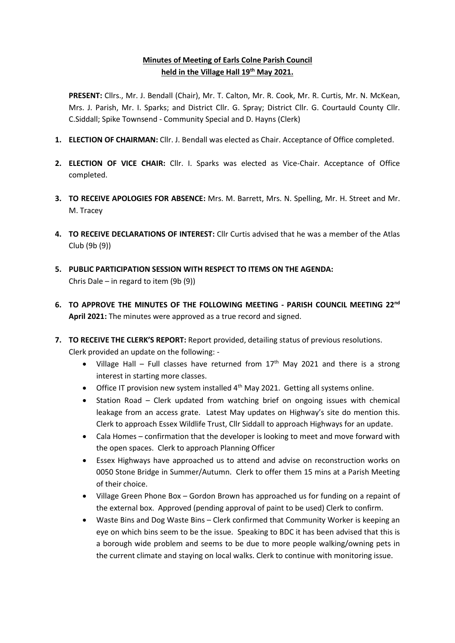# **Minutes of Meeting of Earls Colne Parish Council held in the Village Hall 19th May 2021.**

**PRESENT:** Cllrs., Mr. J. Bendall (Chair), Mr. T. Calton, Mr. R. Cook, Mr. R. Curtis, Mr. N. McKean, Mrs. J. Parish, Mr. I. Sparks; and District Cllr. G. Spray; District Cllr. G. Courtauld County Cllr. C.Siddall; Spike Townsend - Community Special and D. Hayns (Clerk)

- **1. ELECTION OF CHAIRMAN:** Cllr. J. Bendall was elected as Chair. Acceptance of Office completed.
- **2. ELECTION OF VICE CHAIR:** Cllr. I. Sparks was elected as Vice-Chair. Acceptance of Office completed.
- **3. TO RECEIVE APOLOGIES FOR ABSENCE:** Mrs. M. Barrett, Mrs. N. Spelling, Mr. H. Street and Mr. M. Tracey
- **4. TO RECEIVE DECLARATIONS OF INTEREST:** Cllr Curtis advised that he was a member of the Atlas Club (9b (9))
- **5. PUBLIC PARTICIPATION SESSION WITH RESPECT TO ITEMS ON THE AGENDA:** Chris Dale – in regard to item (9b (9))
- **6. TO APPROVE THE MINUTES OF THE FOLLOWING MEETING - PARISH COUNCIL MEETING 22nd April 2021:** The minutes were approved as a true record and signed.
- **7. TO RECEIVE THE CLERK'S REPORT:** Report provided, detailing status of previous resolutions. Clerk provided an update on the following: -
	- Village Hall Full classes have returned from  $17<sup>th</sup>$  May 2021 and there is a strong interest in starting more classes.
	- Office IT provision new system installed  $4<sup>th</sup>$  May 2021. Getting all systems online.
	- Station Road Clerk updated from watching brief on ongoing issues with chemical leakage from an access grate. Latest May updates on Highway's site do mention this. Clerk to approach Essex Wildlife Trust, Cllr Siddall to approach Highways for an update.
	- Cala Homes confirmation that the developer is looking to meet and move forward with the open spaces. Clerk to approach Planning Officer
	- Essex Highways have approached us to attend and advise on reconstruction works on 0050 Stone Bridge in Summer/Autumn. Clerk to offer them 15 mins at a Parish Meeting of their choice.
	- Village Green Phone Box Gordon Brown has approached us for funding on a repaint of the external box. Approved (pending approval of paint to be used) Clerk to confirm.
	- Waste Bins and Dog Waste Bins Clerk confirmed that Community Worker is keeping an eye on which bins seem to be the issue. Speaking to BDC it has been advised that this is a borough wide problem and seems to be due to more people walking/owning pets in the current climate and staying on local walks. Clerk to continue with monitoring issue.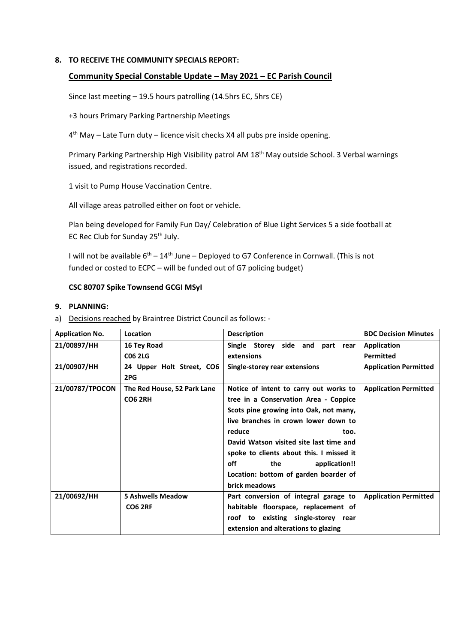### **8. TO RECEIVE THE COMMUNITY SPECIALS REPORT:**

## **Community Special Constable Update – May 2021 – EC Parish Council**

Since last meeting – 19.5 hours patrolling (14.5hrs EC, 5hrs CE)

+3 hours Primary Parking Partnership Meetings

4<sup>th</sup> May – Late Turn duty – licence visit checks X4 all pubs pre inside opening.

Primary Parking Partnership High Visibility patrol AM 18<sup>th</sup> May outside School. 3 Verbal warnings issued, and registrations recorded.

1 visit to Pump House Vaccination Centre.

All village areas patrolled either on foot or vehicle.

Plan being developed for Family Fun Day/ Celebration of Blue Light Services 5 a side football at EC Rec Club for Sunday 25<sup>th</sup> July.

I will not be available  $6^{th} - 14^{th}$  June – Deployed to G7 Conference in Cornwall. (This is not funded or costed to ECPC – will be funded out of G7 policing budget)

## **CSC 80707 Spike Townsend GCGI MSyI**

#### **9. PLANNING:**

a) Decisions reached by Braintree District Council as follows: -

| <b>Application No.</b> | Location                    | <b>Description</b>                       | <b>BDC Decision Minutes</b>  |
|------------------------|-----------------------------|------------------------------------------|------------------------------|
| 21/00897/HH            | 16 Tey Road                 | Single Storey<br>side and part<br>rear   | <b>Application</b>           |
|                        | <b>CO6 2LG</b>              | extensions                               | <b>Permitted</b>             |
| 21/00907/HH            | 24 Upper Holt Street, CO6   | Single-storey rear extensions            | <b>Application Permitted</b> |
|                        | 2PG                         |                                          |                              |
| 21/00787/TPOCON        | The Red House, 52 Park Lane | Notice of intent to carry out works to   | <b>Application Permitted</b> |
|                        | <b>CO6 2RH</b>              | tree in a Conservation Area - Coppice    |                              |
|                        |                             | Scots pine growing into Oak, not many,   |                              |
|                        |                             | live branches in crown lower down to     |                              |
|                        |                             | reduce<br>too.                           |                              |
|                        |                             | David Watson visited site last time and  |                              |
|                        |                             | spoke to clients about this. I missed it |                              |
|                        |                             | off<br>application!!<br>the              |                              |
|                        |                             | Location: bottom of garden boarder of    |                              |
|                        |                             | brick meadows                            |                              |
| 21/00692/HH            | <b>5 Ashwells Meadow</b>    | Part conversion of integral garage to    | <b>Application Permitted</b> |
|                        | <b>CO6 2RF</b>              | habitable floorspace, replacement of     |                              |
|                        |                             | roof to existing single-storey rear      |                              |
|                        |                             | extension and alterations to glazing     |                              |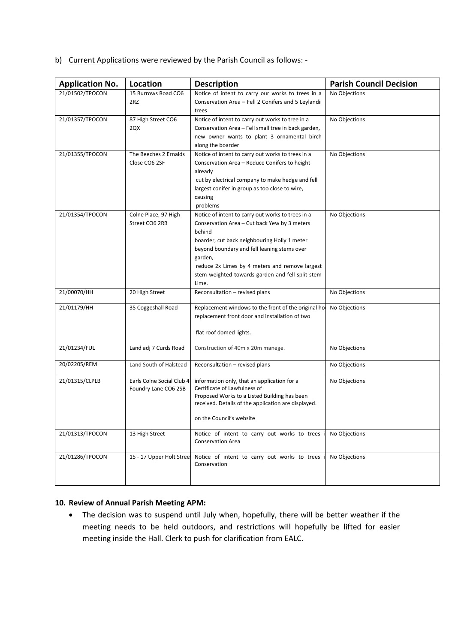b) Current Applications were reviewed by the Parish Council as follows: -

| <b>Application No.</b> | Location                                          | <b>Description</b>                                                                                                                                                                                                                                                                                                                   | <b>Parish Council Decision</b> |
|------------------------|---------------------------------------------------|--------------------------------------------------------------------------------------------------------------------------------------------------------------------------------------------------------------------------------------------------------------------------------------------------------------------------------------|--------------------------------|
| 21/01502/TPOCON        | 15 Burrows Road CO6<br>2RZ                        | Notice of intent to carry our works to trees in a<br>Conservation Area - Fell 2 Conifers and 5 Leylandii<br>trees                                                                                                                                                                                                                    | No Objections                  |
| 21/01357/TPOCON        | 87 High Street CO6<br>2QX                         | Notice of intent to carry out works to tree in a<br>Conservation Area - Fell small tree in back garden,<br>new owner wants to plant 3 ornamental birch<br>along the boarder                                                                                                                                                          | No Objections                  |
| 21/01355/TPOCON        | The Beeches 2 Ernalds<br>Close CO6 2SF            | Notice of intent to carry out works to trees in a<br>Conservation Area - Reduce Conifers to height<br>already<br>cut by electrical company to make hedge and fell<br>largest conifer in group as too close to wire,<br>causing<br>problems                                                                                           | No Objections                  |
| 21/01354/TPOCON        | Colne Place, 97 High<br>Street CO6 2RB            | Notice of intent to carry out works to trees in a<br>Conservation Area – Cut back Yew by 3 meters<br>behind<br>boarder, cut back neighbouring Holly 1 meter<br>beyond boundary and fell leaning stems over<br>garden,<br>reduce 2x Limes by 4 meters and remove largest<br>stem weighted towards garden and fell split stem<br>Lime. | No Objections                  |
| 21/00070/HH            | 20 High Street                                    | Reconsultation - revised plans                                                                                                                                                                                                                                                                                                       | No Objections                  |
| 21/01179/HH            | 35 Coggeshall Road                                | Replacement windows to the front of the original ho<br>replacement front door and installation of two<br>flat roof domed lights.                                                                                                                                                                                                     | No Objections                  |
| 21/01234/FUL           | Land adj 7 Curds Road                             | Construction of 40m x 20m manege.                                                                                                                                                                                                                                                                                                    | No Objections                  |
| 20/02205/REM           | Land South of Halstead                            | Reconsultation - revised plans                                                                                                                                                                                                                                                                                                       | No Objections                  |
| 21/01315/CLPLB         | Earls Colne Social Club 4<br>Foundry Lane CO6 2SB | information only, that an application for a<br>Certificate of Lawfulness of<br>Proposed Works to a Listed Building has been<br>received. Details of the application are displayed.<br>on the Council's website                                                                                                                       | No Objections                  |
| 21/01313/TPOCON        | 13 High Street                                    | Notice of intent to carry out works to trees<br><b>Conservation Area</b>                                                                                                                                                                                                                                                             | No Objections                  |
| 21/01286/TPOCON        | 15 - 17 Upper Holt Stree                          | Notice of intent to carry out works to trees<br>Conservation                                                                                                                                                                                                                                                                         | No Objections                  |

### **10. Review of Annual Parish Meeting APM:**

• The decision was to suspend until July when, hopefully, there will be better weather if the meeting needs to be held outdoors, and restrictions will hopefully be lifted for easier meeting inside the Hall. Clerk to push for clarification from EALC.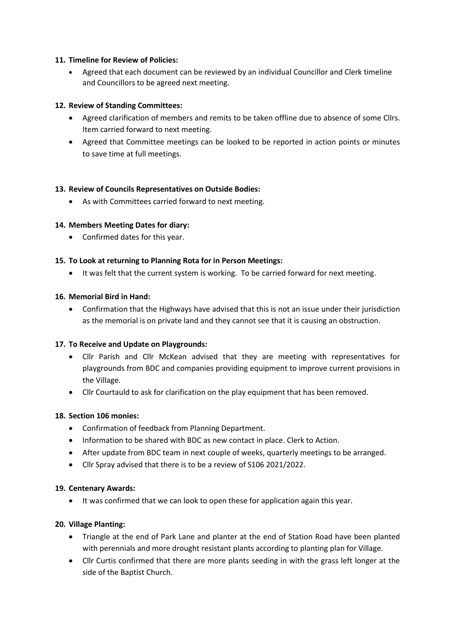## **11. Timeline for Review of Policies:**

• Agreed that each document can be reviewed by an individual Councillor and Clerk timeline and Councillors to be agreed next meeting.

## **12. Review of Standing Committees:**

- Agreed clarification of members and remits to be taken offline due to absence of some Cllrs. Item carried forward to next meeting.
- Agreed that Committee meetings can be looked to be reported in action points or minutes to save time at full meetings.

## **13. Review of Councils Representatives on Outside Bodies:**

• As with Committees carried forward to next meeting.

## **14. Members Meeting Dates for diary:**

• Confirmed dates for this year.

## **15. To Look at returning to Planning Rota for in Person Meetings:**

It was felt that the current system is working. To be carried forward for next meeting.

### **16. Memorial Bird in Hand:**

• Confirmation that the Highways have advised that this is not an issue under their jurisdiction as the memorial is on private land and they cannot see that it is causing an obstruction.

### **17. To Receive and Update on Playgrounds:**

- Cllr Parish and Cllr McKean advised that they are meeting with representatives for playgrounds from BDC and companies providing equipment to improve current provisions in the Village.
- Cllr Courtauld to ask for clarification on the play equipment that has been removed.

### **18. Section 106 monies:**

- Confirmation of feedback from Planning Department.
- Information to be shared with BDC as new contact in place. Clerk to Action.
- After update from BDC team in next couple of weeks, quarterly meetings to be arranged.
- Cllr Spray advised that there is to be a review of S106 2021/2022.

### **19. Centenary Awards:**

• It was confirmed that we can look to open these for application again this year.

### **20. Village Planting:**

- Triangle at the end of Park Lane and planter at the end of Station Road have been planted with perennials and more drought resistant plants according to planting plan for Village.
- Cllr Curtis confirmed that there are more plants seeding in with the grass left longer at the side of the Baptist Church.